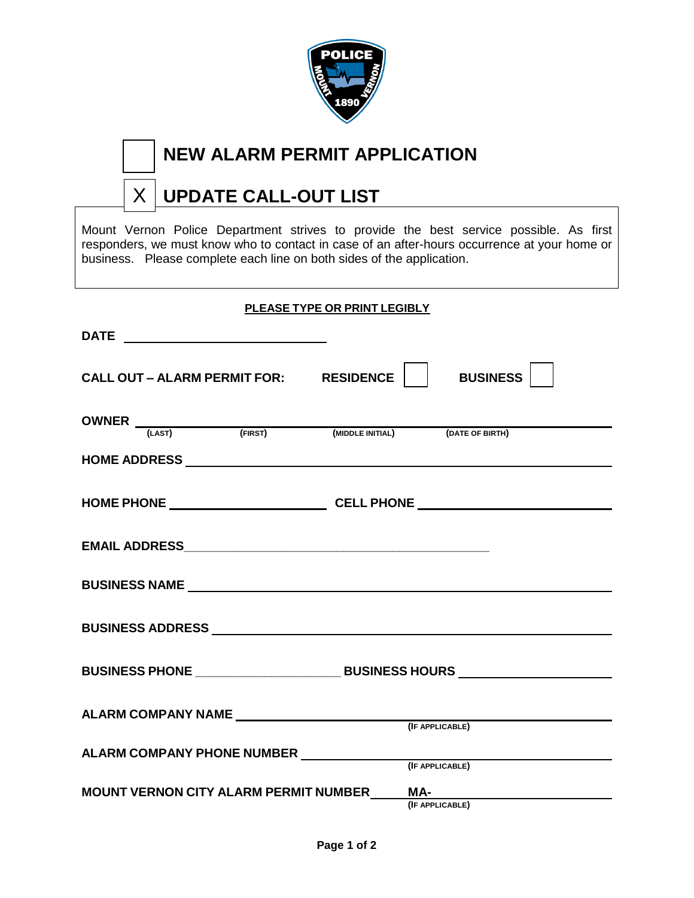

# **NEW ALARM PERMIT APPLICATION**

#### **UPDATE CALL-OUT LIST** X

Mount Vernon Police Department strives to provide the best service possible. As first responders, we must know who to contact in case of an after-hours occurrence at your home or business. Please complete each line on both sides of the application.

### **PLEASE TYPE OR PRINT LEGIBLY**

| CALL OUT - ALARM PERMIT FOR: RESIDENCE                | BUSINESS        |
|-------------------------------------------------------|-----------------|
| OWNER (LAST) (FIRST) (MIDDLE INITIAL) (DATE OF BIRTH) |                 |
|                                                       |                 |
|                                                       |                 |
|                                                       |                 |
| <b>BUSINESS NAME And ALCOHOL</b>                      |                 |
|                                                       |                 |
|                                                       |                 |
|                                                       |                 |
|                                                       |                 |
| MOUNT VERNON CITY ALARM PERMIT NUMBER_____MA-         | (IF APPLICABLE) |